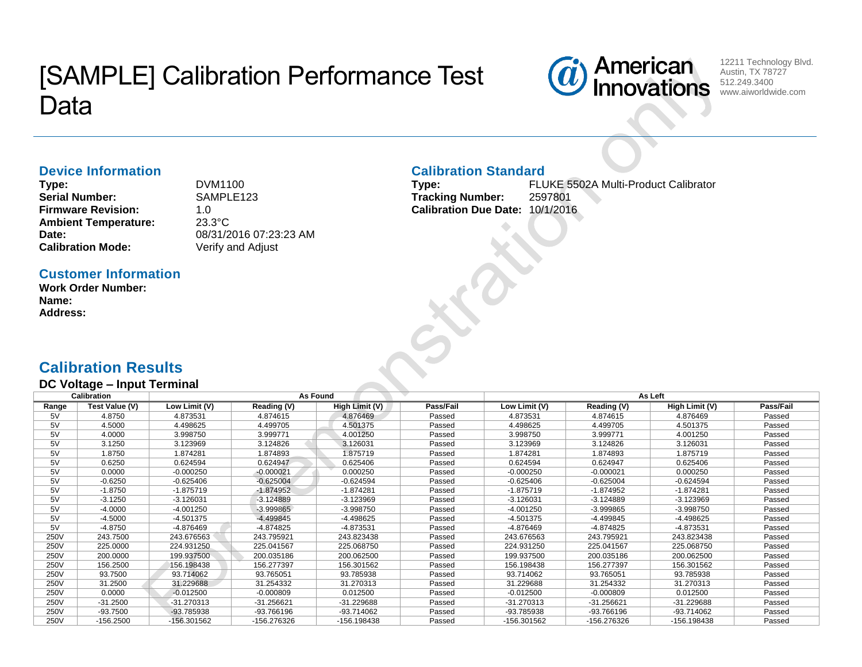# [SAMPLE] Calibration Performance Test Data



12211 Technology Blvd. Austin, TX 78727 512.249.3400 www.aiworldwide.com

#### **Device Information**

**Type:** DVM1100 Serial Number: SAMPLE123 **Firmware Revision:** 1.0 **Ambient Temperature:** 23.3°C **Calibration Mode:** 

**Date:** 08/31/2016 07:23:23 AM<br> **Calibration Mode:** Verify and Adjust

#### **Calibration Standard**

**Type:** FLUKE 5502A Multi-Product Calibrator **Tracking Number:** 2597801 **Calibration Due Date:** 10/1/2016

### **Customer Information**

**Work Order Number: Name: Address:**

## **Calibration Results**

#### **DC Voltage – Input Terminal**

|       | <b>Calibration</b> |               | As Found<br>As Left |                |           |               |              |                |           |
|-------|--------------------|---------------|---------------------|----------------|-----------|---------------|--------------|----------------|-----------|
| Range | Test Value (V)     | Low Limit (V) | Reading (V)         | High Limit (V) | Pass/Fail | Low Limit (V) | Reading (V)  | High Limit (V) | Pass/Fail |
| 5٧    | 4.8750             | 4.873531      | 4.874615            | 4.876469       | Passed    | 4.873531      | 4.874615     | 4.876469       | Passed    |
| 5V    | 4.5000             | 4.498625      | 4.499705            | 4.501375       | Passed    | 4.498625      | 4.499705     | 4.501375       | Passed    |
| 5V    | 4.0000             | 3.998750      | 3.999771            | 4.001250       | Passed    | 3.998750      | 3.999771     | 4.001250       | Passed    |
| 5V    | 3.1250             | 3.123969      | 3.124826            | 3.126031       | Passed    | 3.123969      | 3.124826     | 3.126031       | Passed    |
| 5V    | 1.8750             | 1.874281      | 1.874893            | 1.875719       | Passed    | 1.874281      | 1.874893     | 1.875719       | Passed    |
| 5V    | 0.6250             | 0.624594      | 0.624947            | 0.625406       | Passed    | 0.624594      | 0.624947     | 0.625406       | Passed    |
| 5V    | 0.0000             | $-0.000250$   | $-0.000021$         | 0.000250       | Passed    | $-0.000250$   | $-0.000021$  | 0.000250       | Passed    |
| 5V    | $-0.6250$          | $-0.625406$   | $-0.625004$         | $-0.624594$    | Passed    | $-0.625406$   | $-0.625004$  | $-0.624594$    | Passed    |
| 5V    | $-1.8750$          | $-1.875719$   | $-1.874952$         | $-1.874281$    | Passed    | $-1.875719$   | $-1.874952$  | $-1.874281$    | Passed    |
| 5V    | $-3.1250$          | -3.126031     | $-3.124889$         | $-3.123969$    | Passed    | $-3.126031$   | $-3.124889$  | $-3.123969$    | Passed    |
| 5V    | $-4.0000$          | $-4.001250$   | $-3.999865$         | -3.998750      | Passed    | $-4.001250$   | $-3.999865$  | $-3.998750$    | Passed    |
| 5٧    | $-4.5000$          | -4.501375     | -4.499845           | -4.498625      | Passed    | -4.501375     | -4.499845    | -4.498625      | Passed    |
| 5V    | $-4.8750$          | -4.876469     | -4.874825           | $-4.873531$    | Passed    | -4.876469     | -4.874825    | -4.873531      | Passed    |
| 250V  | 243.7500           | 243.676563    | 243.795921          | 243.823438     | Passed    | 243.676563    | 243.795921   | 243.823438     | Passed    |
| 250V  | 225,0000           | 224.931250    | 225.041567          | 225.068750     | Passed    | 224.931250    | 225.041567   | 225.068750     | Passed    |
| 250V  | 200.0000           | 199.937500    | 200.035186          | 200.062500     | Passed    | 199.937500    | 200.035186   | 200.062500     | Passed    |
| 250V  | 156.2500           | 156.198438    | 156.277397          | 156.301562     | Passed    | 156.198438    | 156.277397   | 156.301562     | Passed    |
| 250V  | 93.7500            | 93.714062     | 93.765051           | 93.785938      | Passed    | 93.714062     | 93.765051    | 93.785938      | Passed    |
| 250V  | 31.2500            | 31.229688     | 31.254332           | 31.270313      | Passed    | 31.229688     | 31.254332    | 31.270313      | Passed    |
| 250V  | 0.0000             | $-0.012500$   | $-0.000809$         | 0.012500       | Passed    | $-0.012500$   | $-0.000809$  | 0.012500       | Passed    |
| 250V  | $-31.2500$         | -31.270313    | -31.256621          | -31.229688     | Passed    | $-31.270313$  | $-31.256621$ | -31.229688     | Passed    |
| 250V  | $-93.7500$         | -93.785938    | -93.766196          | -93.714062     | Passed    | -93.785938    | -93.766196   | -93.714062     | Passed    |
| 250V  | $-156.2500$        | -156.301562   | -156.276326         | -156.198438    | Passed    | -156.301562   | -156.276326  | -156.198438    | Passed    |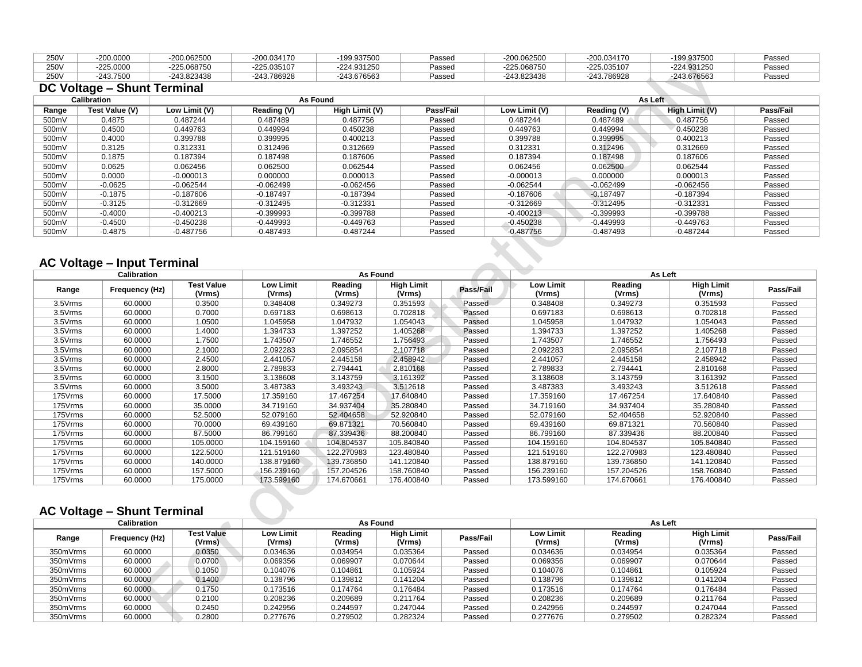| 250V | $-200.0000$ | -200.062500 | $-200.034170$ | 199.937500            | Passeo | -200.062500 | -200.034170 | 199.937500  | Passeo |
|------|-------------|-------------|---------------|-----------------------|--------|-------------|-------------|-------------|--------|
| 250V | $-225.0000$ | -225.068750 | -225.035107   | <sup></sup> 24.931250 | Passed | -225.068750 | -225.035107 | -224.931250 | Passec |
| 250V | $-243.7500$ | -243.823438 | -243.786928   | -243.676563           | Passeo | -243.823438 | -243.786928 | -243.676563 | Passed |

## **DC Voltage – Shunt Terminal**

| <b>Calibration</b> |                |               | As Found    |                |           | As Left       |             |                |           |  |  |
|--------------------|----------------|---------------|-------------|----------------|-----------|---------------|-------------|----------------|-----------|--|--|
| Range              | Test Value (V) | Low Limit (V) | Reading (V) | High Limit (V) | Pass/Fail | Low Limit (V) | Reading (V) | High Limit (V) | Pass/Fail |  |  |
| 500mV              | 0.4875         | 0.487244      | 0.487489    | 0.487756       | Passed    | 0.487244      | 0.487489    | 0.487756       | Passed    |  |  |
| 500mV              | 0.4500         | 0.449763      | 0.449994    | 0.450238       | Passed    | 0.449763      | 0.449994    | 0.450238       | Passed    |  |  |
| 500mV              | 0.4000         | 0.399788      | 0.399995    | 0.400213       | Passed    | 0.399788      | 0.399995    | 0.400213       | Passed    |  |  |
| 500mV              | 0.3125         | 0.312331      | 0.312496    | 0.312669       | Passed    | 0.312331      | 0.312496    | 0.312669       | Passed    |  |  |
| 500mV              | 0.1875         | 0.187394      | 0.187498    | 0.187606       | Passed    | 0.187394      | 0.187498    | 0.187606       | Passed    |  |  |
| 500mV              | 0.0625         | 0.062456      | 0.062500    | 0.062544       | Passed    | 0.062456      | 0.062500    | 0.062544       | Passed    |  |  |
| 500mV              | 0.0000         | $-0.000013$   | 0.000000    | 0.000013       | Passed    | $-0.000013$   | 0.000000    | 0.000013       | Passed    |  |  |
| 500mV              | $-0.0625$      | $-0.062544$   | $-0.062499$ | $-0.062456$    | Passed    | $-0.062544$   | $-0.062499$ | $-0.062456$    | Passed    |  |  |
| 500mV              | $-0.1875$      | $-0.187606$   | $-0.187497$ | $-0.187394$    | Passed    | $-0.187606$   | $-0.187497$ | $-0.187394$    | Passed    |  |  |
| 500mV              | $-0.3125$      | $-0.312669$   | $-0.312495$ | $-0.312331$    | Passed    | $-0.312669$   | $-0.312495$ | $-0.312331$    | Passed    |  |  |
| 500mV              | $-0.4000$      | $-0.400213$   | $-0.399993$ | $-0.399788$    | Passed    | $-0.400213$   | $-0.399993$ | $-0.399788$    | Passed    |  |  |
| 500mV              | $-0.4500$      | $-0.450238$   | $-0.449993$ | $-0.449763$    | Passed    | $-0.450238$   | $-0.449993$ | -0.449763      | Passed    |  |  |
| 500mV              | $-0.4875$      | $-0.487756$   | $-0.487493$ | $-0.487244$    | Passed    | $-0.487756$   | $-0.487493$ | $-0.487244$    | Passed    |  |  |

#### **AC Voltage – Input Terminal**

|         | <b>Calibration</b> |                             |                     | As Found          |                             |           |                            | As Left           |                             |           |  |
|---------|--------------------|-----------------------------|---------------------|-------------------|-----------------------------|-----------|----------------------------|-------------------|-----------------------------|-----------|--|
| Range   | Frequency (Hz)     | <b>Test Value</b><br>(Vrms) | Low Limit<br>(Vrms) | Reading<br>(Vrms) | <b>High Limit</b><br>(Vrms) | Pass/Fail | <b>Low Limit</b><br>(Vrms) | Reading<br>(Vrms) | <b>High Limit</b><br>(Vrms) | Pass/Fail |  |
| 3.5Vrms | 60.0000            | 0.3500                      | 0.348408            | 0.349273          | 0.351593                    | Passed    | 0.348408                   | 0.349273          | 0.351593                    | Passed    |  |
| 3.5Vrms | 60.0000            | 0.7000                      | 0.697183            | 0.698613          | 0.702818                    | Passed    | 0.697183                   | 0.698613          | 0.702818                    | Passed    |  |
| 3.5Vrms | 60.0000            | 1.0500                      | 1.045958            | 1.047932          | 1.054043                    | Passed    | 1.045958                   | 1.047932          | 1.054043                    | Passed    |  |
| 3.5Vrms | 60.0000            | 1.4000                      | 1.394733            | .397252           | 1.405268                    | Passed    | 1.394733                   | 1.397252          | 1.405268                    | Passed    |  |
| 3.5Vrms | 60.0000            | 1.7500                      | 1.743507            | 1.746552          | 1.756493                    | Passed    | 1.743507                   | 1.746552          | 1.756493                    | Passed    |  |
| 3.5Vrms | 60.0000            | 2.1000                      | 2.092283            | 2.095854          | 2.107718                    | Passed    | 2.092283                   | 2.095854          | 2.107718                    | Passed    |  |
| 3.5Vrms | 60.0000            | 2.4500                      | 2.441057            | 2.445158          | 2.458942                    | Passed    | 2.441057                   | 2.445158          | 2.458942                    | Passed    |  |
| 3.5Vrms | 60.0000            | 2.8000                      | 2.789833            | 2.794441          | 2.810168                    | Passed    | 2.789833                   | 2.794441          | 2.810168                    | Passed    |  |
| 3.5Vrms | 60.0000            | 3.1500                      | 3.138608            | 3.143759          | 3.161392                    | Passed    | 3.138608                   | 3.143759          | 3.161392                    | Passed    |  |
| 3.5Vrms | 60.0000            | 3.5000                      | 3.487383            | 3.493243          | 3.512618                    | Passed    | 3.487383                   | 3.493243          | 3.512618                    | Passed    |  |
| 175Vrms | 60.0000            | 17.5000                     | 17.359160           | 17.467254         | 17.640840                   | Passed    | 17.359160                  | 17.467254         | 17.640840                   | Passed    |  |
| 175Vrms | 60.0000            | 35.0000                     | 34.719160           | 34.937404         | 35.280840                   | Passed    | 34.719160                  | 34.937404         | 35.280840                   | Passed    |  |
| 175Vrms | 60.0000            | 52.5000                     | 52.079160           | 52.404658         | 52.920840                   | Passed    | 52.079160                  | 52.404658         | 52.920840                   | Passed    |  |
| 175Vrms | 60.0000            | 70.0000                     | 69.439160           | 69.871321         | 70.560840                   | Passed    | 69.439160                  | 69.871321         | 70.560840                   | Passed    |  |
| 175Vrms | 60.0000            | 87.5000                     | 86.799160           | 87.339436         | 88.200840                   | Passed    | 86.799160                  | 87.339436         | 88.200840                   | Passed    |  |
| 175Vrms | 60.0000            | 105.0000                    | 104.159160          | 104.804537        | 105.840840                  | Passed    | 104.159160                 | 104.804537        | 105.840840                  | Passed    |  |
| 175Vrms | 60.0000            | 122.5000                    | 121.519160          | 122.270983        | 123.480840                  | Passed    | 121.519160                 | 122.270983        | 123.480840                  | Passed    |  |
| 175Vrms | 60.0000            | 140.0000                    | 138.879160          | 139.736850        | 141.120840                  | Passed    | 138.879160                 | 139.736850        | 141.120840                  | Passed    |  |
| 175Vrms | 60.0000            | 157.5000                    | 156.239160          | 157.204526        | 158.760840                  | Passed    | 156.239160                 | 157.204526        | 158.760840                  | Passed    |  |
| 175Vrms | 60.0000            | 175.0000                    | 173.599160          | 174.670661        | 176.400840                  | Passed    | 173.599160                 | 174.670661        | 176.400840                  | Passed    |  |

## **AC Voltage – Shunt Terminal**

| <b>Calibration</b> |                |                             | As Found                   |                   |                             |           | As Left                    |                   |                             |           |
|--------------------|----------------|-----------------------------|----------------------------|-------------------|-----------------------------|-----------|----------------------------|-------------------|-----------------------------|-----------|
| Range              | Frequency (Hz) | <b>Test Value</b><br>(Vrms) | <b>Low Limit</b><br>(Vrms) | Reading<br>(Vrms) | <b>High Limit</b><br>(Vrms) | Pass/Fail | <b>Low Limit</b><br>(Vrms) | Reading<br>(Vrms) | <b>High Limit</b><br>(Vrms) | Pass/Fail |
| 350mVrms           | 60.0000        | 0.0350                      | 0.034636                   | 0.034954          | 0.035364                    | Passed    | 0.034636                   | 0.034954          | 0.035364                    | Passed    |
| 350mVrms           | 60.0000        | 0.0700                      | 0.069356                   | 0.069907          | 0.070644                    | Passed    | 0.069356                   | 0.069907          | 0.070644                    | Passed    |
| 350mVrms           | 60.0000        | 0.1050                      | 0.104076                   | 0.104861          | 0.105924                    | Passed    | 0.104076                   | 0.104861          | 0.105924                    | Passed    |
| 350mVrms           | 60.0000        | 0.1400                      | 0.138796                   | 0.139812          | 0.141204                    | Passed    | 0.138796                   | 0.139812          | 0.141204                    | Passed    |
| 350mVrms           | 60.0000        | 0.1750                      | 0.173516                   | 0.174764          | 0.176484                    | Passed    | 0.173516                   | 0.174764          | 0.176484                    | Passed    |
| 350mVrms           | 60.0000        | 0.2100                      | 0.208236                   | 0.209689          | 0.211764                    | Passed    | 0.208236                   | 0.209689          | 0.211764                    | Passed    |
| 350mVrms           | 60.0000        | 0.2450                      | 0.242956                   | 0.244597          | 0.247044                    | Passed    | 0.242956                   | 0.244597          | 0.247044                    | Passed    |
| 350mVrms           | 60.0000        | 0.2800                      | 0.277676                   | 0.279502          | 0.282324                    | Passed    | 0.277676                   | 0.279502          | 0.282324                    | Passed    |